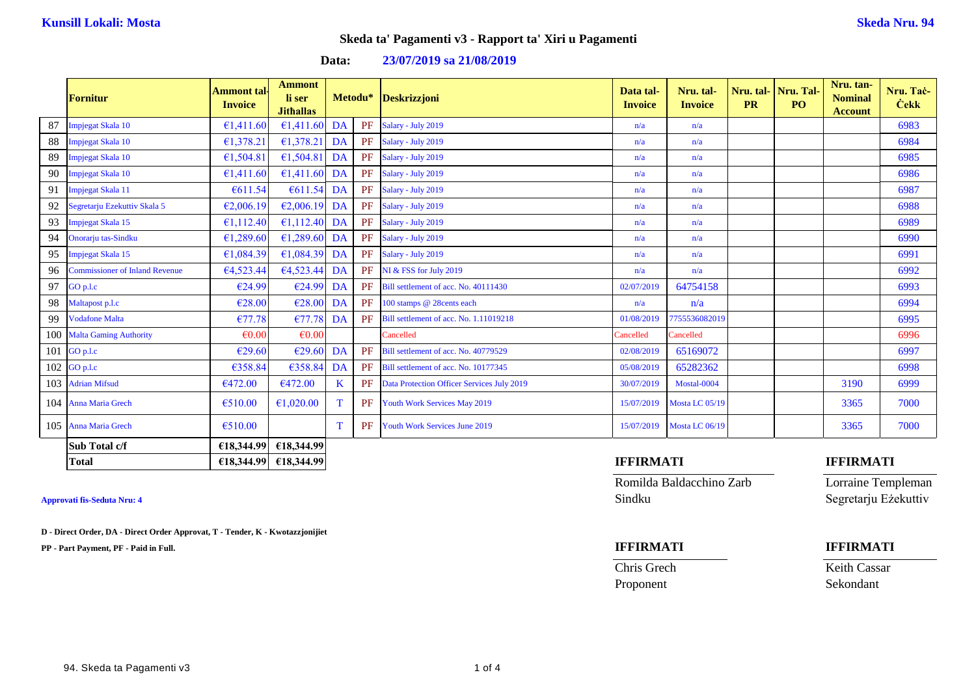| Data: | 23/07/2019 sa 21/08/2019 |  |
|-------|--------------------------|--|
|-------|--------------------------|--|

|     | <b>Fornitur</b>                       | Ammont tal·<br><b>Invoice</b> | <b>Ammont</b><br>li ser<br><b>Jithallas</b> |             | Metodu*   | <b>Deskrizzjoni</b>                        | Data tal-<br><b>Invoice</b> | Nru. tal-<br><b>Invoice</b> | <b>PR</b> | Nru. tal- Nru. Tal<br>PO <sub>1</sub> | Nru. tan-<br><b>Nominal</b><br><b>Account</b> | Nru. Taċ-<br><b>Cekk</b> |
|-----|---------------------------------------|-------------------------------|---------------------------------------------|-------------|-----------|--------------------------------------------|-----------------------------|-----------------------------|-----------|---------------------------------------|-----------------------------------------------|--------------------------|
| 87  | Impjegat Skala 10                     | €1,411.60                     | €1,411.60                                   | DA          | PF        | Salary - July 2019                         | n/a                         | n/a                         |           |                                       |                                               | 6983                     |
| 88  | Impjegat Skala 10                     | €1,378.21                     | €1,378.21 DA                                |             | PF        | Salary - July 2019                         | n/a                         | n/a                         |           |                                       |                                               | 6984                     |
| 89  | Impjegat Skala 10                     | €1,504.81                     | €1,504.81 DA                                |             | PF        | Salary - July 2019                         | n/a                         | n/a                         |           |                                       |                                               | 6985                     |
| 90  | Impjegat Skala 10                     | €1,411.60                     | €1,411.60 DA                                |             | <b>PF</b> | Salary - July 2019                         | n/a                         | n/a                         |           |                                       |                                               | 6986                     |
| 91  | Impjegat Skala 11                     | €611.54                       | $€611.54$ DA                                |             | PF        | Salary - July 2019                         | n/a                         | n/a                         |           |                                       |                                               | 6987                     |
| 92  | Segretarju Ezekuttiv Skala 5          | €2,006.19                     | €2,006.19 DA                                |             | PF        | Salary - July 2019                         | n/a                         | n/a                         |           |                                       |                                               | 6988                     |
| 93  | Impjegat Skala 15                     | €1,112.40                     | €1,112.40 DA                                |             | PF        | Salary - July 2019                         | n/a                         | n/a                         |           |                                       |                                               | 6989                     |
| 94  | Onorarju tas-Sindku                   | €1,289.60                     | €1,289.60 DA                                |             | PF        | Salary - July 2019                         | n/a                         | n/a                         |           |                                       |                                               | 6990                     |
| 95  | Impjegat Skala 15                     | €1,084.39                     | €1,084.39 DA                                |             | PF        | Salary - July 2019                         | n/a                         | n/a                         |           |                                       |                                               | 6991                     |
| 96  | <b>Commissioner of Inland Revenue</b> | €4,523.44                     | €4,523.44 DA                                |             | PF        | NI & FSS for July 2019                     | n/a                         | n/a                         |           |                                       |                                               | 6992                     |
| 97  | GO p.l.c                              | €24.99                        | €24.99 DA                                   |             | PF        | Bill settlement of acc. No. 40111430       | 02/07/2019                  | 64754158                    |           |                                       |                                               | 6993                     |
| 98  | Maltapost p.l.c                       | €28.00                        | $E28.00$ DA                                 |             | PF        | 100 stamps @ 28cents each                  | n/a                         | n/a                         |           |                                       |                                               | 6994                     |
| 99  | <b>Vodafone Malta</b>                 | €77.78                        | €77.78                                      | DA          | PF        | Bill settlement of acc. No. 1.11019218     | 01/08/2019                  | 7755536082019               |           |                                       |                                               | 6995                     |
|     | 100 Malta Gaming Authority            | $\epsilon$ 0.00               | $\epsilon$ 0.00                             |             |           | Cancelled                                  | Cancelled                   | Cancelled                   |           |                                       |                                               | 6996                     |
| 101 | GO p.l.c                              | €29.60                        | €29.60                                      | DA          | PF        | Bill settlement of acc. No. 40779529       | 02/08/2019                  | 65169072                    |           |                                       |                                               | 6997                     |
|     | $102$ GO p.l.c                        | €358.84                       | €358.84                                     | DA          | <b>PF</b> | Bill settlement of acc. No. 10177345       | 05/08/2019                  | 65282362                    |           |                                       |                                               | 6998                     |
|     | 103 Adrian Mifsud                     | €472.00                       | €472.00                                     | $\mathbf K$ | PF        | Data Protection Officer Services July 2019 | 30/07/2019                  | Mostal-0004                 |           |                                       | 3190                                          | 6999                     |
|     | 104 Anna Maria Grech                  | €510.00                       | €1,020.00                                   | T           | <b>PF</b> | Youth Work Services May 2019               | 15/07/2019                  | Mosta LC 05/19              |           |                                       | 3365                                          | 7000                     |
|     | 105 Anna Maria Grech                  | €510.00                       |                                             | T           | PF        | Youth Work Services June 2019              | 15/07/2019                  | Mosta LC 06/19              |           |                                       | 3365                                          | 7000                     |
|     | <b>Sub Total c/f</b>                  | €18,344.99                    | €18,344.99                                  |             |           |                                            |                             |                             |           |                                       |                                               |                          |
|     | <b>Total</b>                          |                               | €18,344.99 €18,344.99                       |             |           |                                            | <b>IFFIRMATI</b>            |                             |           |                                       | <b>IFFIRMATI</b>                              |                          |

**D - Direct Order, DA - Direct Order Approvat, T - Tender, K - Kwotazzjonijiet**

**PP - Part Payment, PF - Paid in Full. IFFIRMATI IFFIRMATI**

Romilda Baldacchino Zarb Lorraine Templeman Approvati fis-Seduta Nru: 4 Segretarju Eżekuttiv

Chris Grech Keith Cassar Proponent Sekondant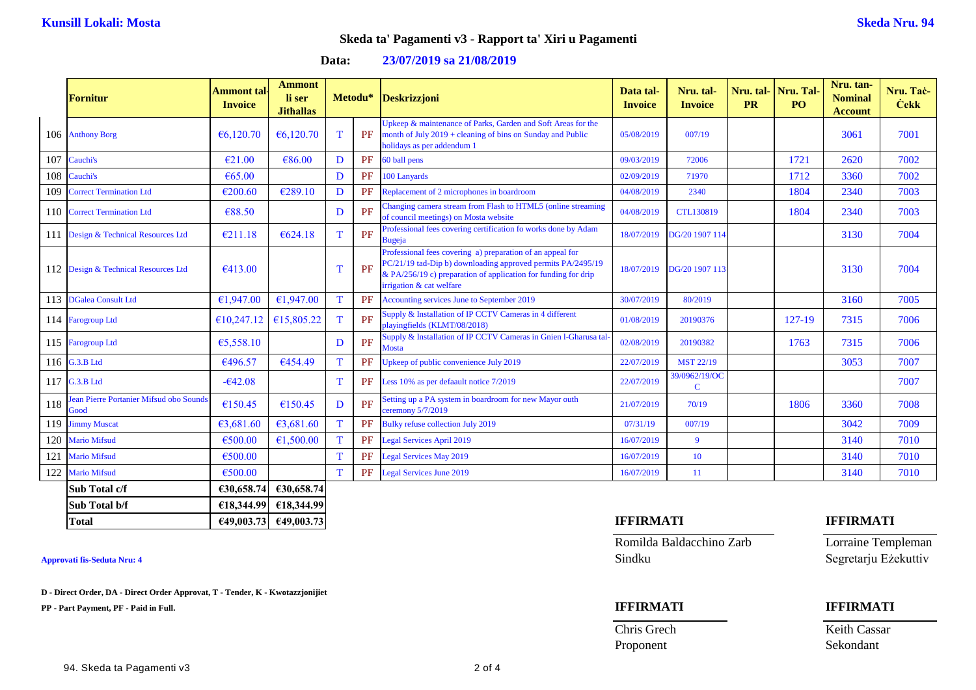| Data: | 23/07/2019 sa 21/08/2019 |  |
|-------|--------------------------|--|
|       |                          |  |

|     | <b>Fornitur</b>                                 | Ammont tal·<br><b>Invoice</b> | <b>Ammont</b><br>li ser<br><b>Jithallas</b> |             | Metodu*   | Deskrizzjoni                                                                                                                                                                                                            | Data tal-<br><b>Invoice</b> | Nru. tal-<br><b>Invoice</b>  | <b>PR</b> | Nru. tal-   Nru. Tal-<br>PO <sub>1</sub> | Nru. tan-<br><b>Nominal</b><br><b>Account</b> | Nru. Tač-<br><b>Cekk</b> |
|-----|-------------------------------------------------|-------------------------------|---------------------------------------------|-------------|-----------|-------------------------------------------------------------------------------------------------------------------------------------------------------------------------------------------------------------------------|-----------------------------|------------------------------|-----------|------------------------------------------|-----------------------------------------------|--------------------------|
|     | 106 Anthony Borg                                | €6,120.70                     | €6,120.70                                   | T           | PF        | Upkeep & maintenance of Parks, Garden and Soft Areas for the<br>month of July $2019$ + cleaning of bins on Sunday and Public<br>holidays as per addendum 1                                                              | 05/08/2019                  | 007/19                       |           |                                          | 3061                                          | 7001                     |
| 107 | Cauchi's                                        | €21.00                        | €86.00                                      | D           | PF        | 60 ball pens                                                                                                                                                                                                            | 09/03/2019                  | 72006                        |           | 1721                                     | 2620                                          | 7002                     |
| 108 | Cauchi's                                        | € $65.00$                     |                                             | D           | <b>PF</b> | 100 Lanyards                                                                                                                                                                                                            | 02/09/2019                  | 71970                        |           | 1712                                     | 3360                                          | 7002                     |
| 109 | <b>Correct Termination Ltd</b>                  | €200.60                       | €289.10                                     | D           | <b>PF</b> | Replacement of 2 microphones in boardroom                                                                                                                                                                               | 04/08/2019                  | 2340                         |           | 1804                                     | 2340                                          | 7003                     |
|     | 110 Correct Termination Ltd                     | €88.50                        |                                             | D           | PF        | Changing camera stream from Flash to HTML5 (online streaming<br>of council meetings) on Mosta website                                                                                                                   | 04/08/2019                  | <b>CTL130819</b>             |           | 1804                                     | 2340                                          | 7003                     |
| 111 | Design & Technical Resources Ltd                | €211.18                       | € $624.18$                                  | T.          | PF        | Professional fees covering certification fo works done by Adam<br>Bugeja                                                                                                                                                | 18/07/2019                  | DG/20 1907 114               |           |                                          | 3130                                          | 7004                     |
|     | 112 Design & Technical Resources Ltd            | €413.00                       |                                             | T           | PF        | Professional fees covering a) preparation of an appeal for<br>PC/21/19 tad-Dip b) downloading approved permits PA/2495/19<br>& PA/256/19 c) preparation of application for funding for drip<br>irrigation & cat welfare | 18/07/2019                  | DG/20 1907 113               |           |                                          | 3130                                          | 7004                     |
|     | 113 DGalea Consult Ltd                          | €1,947.00                     | €1,947.00                                   | T           | PF        | Accounting services June to September 2019                                                                                                                                                                              | 30/07/2019                  | 80/2019                      |           |                                          | 3160                                          | 7005                     |
|     | 114 Farogroup Ltd                               | €10,247.12                    | €15,805.22                                  | T           | PF        | Supply & Installation of IP CCTV Cameras in 4 different<br>playingfields (KLMT/08/2018)                                                                                                                                 | 01/08/2019                  | 20190376                     |           | 127-19                                   | 7315                                          | 7006                     |
|     | 115 Farogroup Ltd                               | €5,558.10                     |                                             | D           | PF        | Supply & Installation of IP CCTV Cameras in Gnien 1-Gharusa tal<br><b>Mosta</b>                                                                                                                                         | 02/08/2019                  | 20190382                     |           | 1763                                     | 7315                                          | 7006                     |
|     | 116 G.3.B Ltd                                   | €496.57                       | €454.49                                     | T           | PF        | Upkeep of public convenience July 2019                                                                                                                                                                                  | 22/07/2019                  | <b>MST 22/19</b>             |           |                                          | 3053                                          | 7007                     |
|     | 117 G.3.B Ltd                                   | $-642.08$                     |                                             | $\mathbf T$ | PF        | Less 10% as per defaault notice 7/2019                                                                                                                                                                                  | 22/07/2019                  | 39/0962/19/OC<br>$\mathbf C$ |           |                                          |                                               | 7007                     |
| 118 | Jean Pierre Portanier Mifsud obo Sounds<br>Good | €150.45                       | €150.45                                     | D           | PF        | Setting up a PA system in boardroom for new Mayor outh<br>ceremony 5/7/2019                                                                                                                                             | 21/07/2019                  | 70/19                        |           | 1806                                     | 3360                                          | 7008                     |
|     | 119 Jimmy Muscat                                | €3,681.60                     | €3,681.60                                   | T           | PF        | Bulky refuse collection July 2019                                                                                                                                                                                       | 07/31/19                    | 007/19                       |           |                                          | 3042                                          | 7009                     |
|     | 120 Mario Mifsud                                | €500.00                       | €1,500.00                                   | T           | <b>PF</b> | <b>Legal Services April 2019</b>                                                                                                                                                                                        | 16/07/2019                  | $\overline{9}$               |           |                                          | 3140                                          | 7010                     |
| 121 | <b>Mario Mifsud</b>                             | €500.00                       |                                             | T           | <b>PF</b> | <b>Legal Services May 2019</b>                                                                                                                                                                                          | 16/07/2019                  | 10                           |           |                                          | 3140                                          | 7010                     |
| 122 | <b>Mario Mifsud</b>                             | €500.00                       |                                             | T           | <b>PF</b> | <b>Legal Services June 2019</b>                                                                                                                                                                                         | 16/07/2019                  | -11                          |           |                                          | 3140                                          | 7010                     |
|     | Sub Total c/f                                   | €30,658.74                    | €30,658.74                                  |             |           |                                                                                                                                                                                                                         |                             |                              |           |                                          |                                               |                          |

**D - Direct Order, DA - Direct Order Approvat, T - Tender, K - Kwotazzjonijiet**

**Sub Total b/f €18,344.99 €18,344.99**

**PP - Part Payment, PF - Paid in Full. IFFIRMATI IFFIRMATI**

### **Total €49,003.73 €49,003.73 IFFIRMATI IFFIRMATI**

Romilda Baldacchino Zarb Lorraine Templeman Approvati fis-Seduta Nru: 4 Segretarju Eżekuttiv

# Chris Grech Keith Cassar

Proponent Sekondant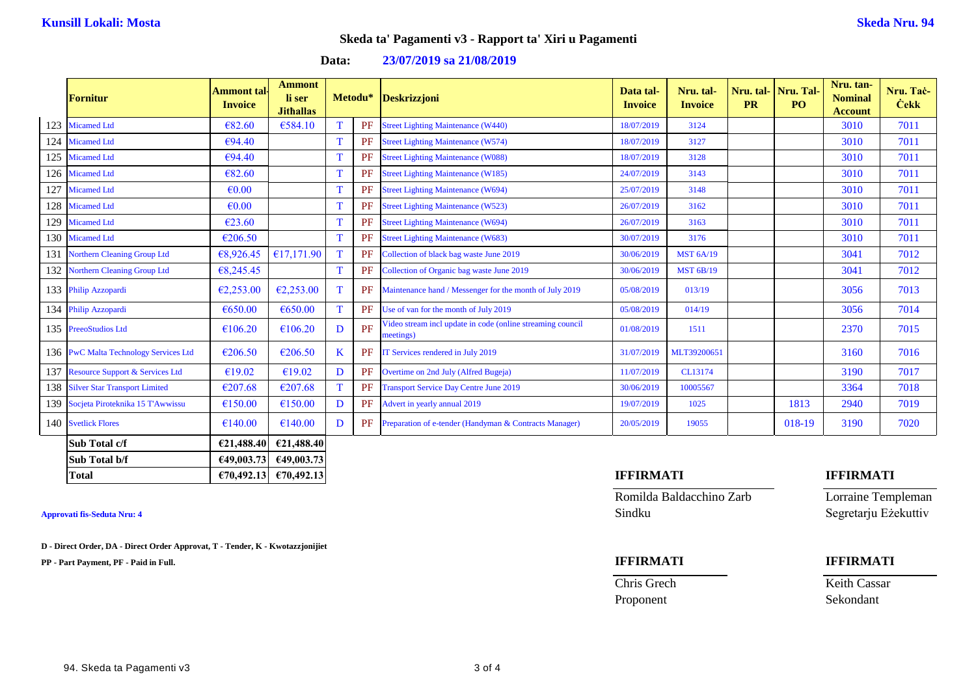| 23/07/2019 sa 21/08/2019 |
|--------------------------|
|                          |

|     | <b>Fornitur</b>                       | Ammont tal·<br><b>Invoice</b> | <b>Ammont</b><br>li ser<br><b>Jithallas</b> |   | Metodu*   | <b>Deskrizzjoni</b>                                                     | Data tal-<br><b>Invoice</b> | Nru. tal-<br><b>Invoice</b> | <b>PR</b> | Nru. tal- Nru. Tal<br>P <sub>O</sub> | Nru. tan-<br><b>Nominal</b><br><b>Account</b> | Nru. Tač-<br><b>Cekk</b> |
|-----|---------------------------------------|-------------------------------|---------------------------------------------|---|-----------|-------------------------------------------------------------------------|-----------------------------|-----------------------------|-----------|--------------------------------------|-----------------------------------------------|--------------------------|
|     | 123 Micamed Ltd                       | €82.60                        | €584.10                                     |   | <b>PF</b> | <b>Street Lighting Maintenance (W440)</b>                               | 18/07/2019                  | 3124                        |           |                                      | 3010                                          | 7011                     |
|     | 124 Micamed Ltd                       | €94.40                        |                                             | T | PF        | <b>Street Lighting Maintenance (W574)</b>                               | 18/07/2019                  | 3127                        |           |                                      | 3010                                          | 7011                     |
|     | 125 Micamed Ltd                       | €94.40                        |                                             | T | <b>PF</b> | <b>Street Lighting Maintenance (W088)</b>                               | 18/07/2019                  | 3128                        |           |                                      | 3010                                          | 7011                     |
|     | 126 Micamed Ltd                       | €82.60                        |                                             | T | PF        | <b>Street Lighting Maintenance (W185)</b>                               | 24/07/2019                  | 3143                        |           |                                      | 3010                                          | 7011                     |
|     | 127 Micamed Ltd                       | $\epsilon$ 0.00               |                                             | T | PF        | <b>Street Lighting Maintenance (W694)</b>                               | 25/07/2019                  | 3148                        |           |                                      | 3010                                          | 7011                     |
|     | 128 Micamed Ltd                       | $\epsilon$ <sub>0.00</sub>    |                                             | T | PF        | <b>Street Lighting Maintenance (W523)</b>                               | 26/07/2019                  | 3162                        |           |                                      | 3010                                          | 7011                     |
|     | 129 Micamed Ltd                       | €23.60                        |                                             | T | PF        | <b>Street Lighting Maintenance (W694)</b>                               | 26/07/2019                  | 3163                        |           |                                      | 3010                                          | 7011                     |
|     | 130 Micamed Ltd                       | €206.50                       |                                             | T | PF        | <b>Street Lighting Maintenance (W683)</b>                               | 30/07/2019                  | 3176                        |           |                                      | 3010                                          | 7011                     |
| 131 | <b>Northern Cleaning Group Ltd</b>    | €8,926.45                     | £17,171.90                                  | T | PF        | Collection of black bag waste June 2019                                 | 30/06/2019                  | <b>MST 6A/19</b>            |           |                                      | 3041                                          | 7012                     |
|     | 132 Northern Cleaning Group Ltd       | €8,245.45                     |                                             | T | PF        | Collection of Organic bag waste June 2019                               | 30/06/2019                  | <b>MST 6B/19</b>            |           |                                      | 3041                                          | 7012                     |
|     | 133 Philip Azzopardi                  | €2,253.00                     | €2,253.00                                   | T | PF        | Maintenance hand / Messenger for the month of July 2019                 | 05/08/2019                  | 013/19                      |           |                                      | 3056                                          | 7013                     |
|     | 134 Philip Azzopardi                  | €650.00                       | €650.00                                     | T | PF        | Use of van for the month of July 2019                                   | 05/08/2019                  | 014/19                      |           |                                      | 3056                                          | 7014                     |
|     | 135 PreeoStudios Ltd                  | €106.20                       | €106.20                                     | D | PF        | Video stream incl update in code (online streaming council<br>meetings) | 01/08/2019                  | 1511                        |           |                                      | 2370                                          | 7015                     |
|     | 136 PwC Malta Technology Services Ltd | €206.50                       | €206.50                                     | K | PF        | IT Services rendered in July 2019                                       | 31/07/2019                  | MLT39200651                 |           |                                      | 3160                                          | 7016                     |
|     | 137 Resource Support & Services Ltd   | €19.02                        | €19.02                                      | D | <b>PF</b> | Overtime on 2nd July (Alfred Bugeja)                                    | 11/07/2019                  | CL13174                     |           |                                      | 3190                                          | 7017                     |
|     | 138 Silver Star Transport Limited     | €207.68                       | €207.68                                     | T | <b>PF</b> | <b>Transport Service Day Centre June 2019</b>                           | 30/06/2019                  | 10005567                    |           |                                      | 3364                                          | 7018                     |
|     | 139 Socjeta Piroteknika 15 T'Awwissu  | €150.00                       | €150.00                                     | D | <b>PF</b> | Advert in yearly annual 2019                                            | 19/07/2019                  | 1025                        |           | 1813                                 | 2940                                          | 7019                     |
|     | 140 Svetlick Flores                   | €140.00                       | €140.00                                     | D | PF        | Preparation of e-tender (Handyman & Contracts Manager)                  | 20/05/2019                  | 19055                       |           | 018-19                               | 3190                                          | 7020                     |
|     | Sub Total c/f                         | €21.488.40                    | €21,488.40                                  |   |           |                                                                         |                             |                             |           |                                      |                                               |                          |
|     | Sub Total b/f                         |                               | €49,003.73 €49,003.73                       |   |           |                                                                         |                             |                             |           |                                      |                                               |                          |

**D - Direct Order, DA - Direct Order Approvat, T - Tender, K - Kwotazzjonijiet**

**PP - Part Payment, PF - Paid in Full. IFFIRMATI IFFIRMATI**

Romilda Baldacchino Zarb Lorraine Templeman **Approvati fis-Seduta Nru: 4** Sindku Segretarju Eżekuttiv

**Chris Grech Keith Cassar** Proponent Sekondant

### **Total €70,492.13 €70,492.13 IFFIRMATI IFFIRMATI**